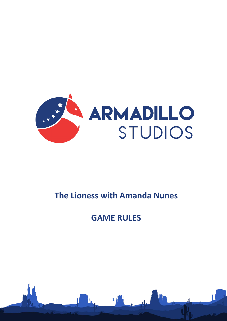

# **The Lioness with Amanda Nunes**

# **GAME RULES**

1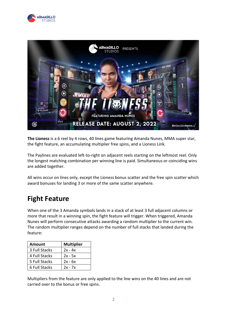



**The Lioness** is a 6 reel by 4 rows, 40 lines game featuring Amanda Nunes, MMA super star, the fight feature, an accumulating multiplier free spins, and a Lioness Link.

The Paylines are evaluated left-to-right on adjacent reels starting on the leftmost reel. Only the longest matching combination per winning line is paid. Simultaneous or coinciding wins are added together.

All wins occur on lines only, except the Lioness bonus scatter and the free spin scatter which award bonuses for landing 3 or more of the same scatter anywhere.

## **Fight Feature**

When one of the 3 Amanda symbols lands in a stack of at least 3 full adjacent columns or more that result in a winning spin, the fight feature will trigger. When triggered, Amanda Nunes will perform consecutive attacks awarding a random multiplier to the current win. The random multiplier ranges depend on the number of full stacks that landed during the feature:

| <b>Amount</b> | <b>Multiplier</b> |
|---------------|-------------------|
| 3 Full Stacks | $2x - 4x$         |
| 4 Full Stacks | $2x - 5x$         |
| 5 Full Stacks | $2x - 6x$         |
| 6 Full Stacks | $2x - 7x$         |

Multipliers from the feature are only applied to the line wins on the 40 lines and are not carried over to the bonus or free spins.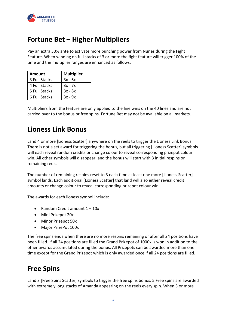

### **Fortune Bet – Higher Multipliers**

Pay an extra 30% ante to activate more punching power from Nunes during the Fight Feature. When winning on full stacks of 3 or more the fight feature will trigger 100% of the time and the multiplier ranges are enhanced as follows:

| <b>Amount</b> | <b>Multiplier</b> |
|---------------|-------------------|
| 3 Full Stacks | $3x - 6x$         |
| 4 Full Stacks | $3x - 7x$         |
| 5 Full Stacks | $3x - 8x$         |
| 6 Full Stacks | $3x - 9x$         |

Multipliers from the feature are only applied to the line wins on the 40 lines and are not carried over to the bonus or free spins. Fortune Bet may not be available on all markets.

#### **Lioness Link Bonus**

Land 4 or more [Lioness Scatter] anywhere on the reels to trigger the Lioness Link Bonus. There is not a set award for triggering the bonus, but all triggering [Lioness Scatter] symbols will each reveal random credits or change colour to reveal corresponding prizepot colour win. All other symbols will disappear, and the bonus will start with 3 initial respins on remaining reels.

The number of remaining respins reset to 3 each time at least one more [Lioness Scatter] symbol lands. Each additional [Lioness Scatter] that land will also either reveal credit amounts or change colour to reveal corresponding prizepot colour win.

The awards for each lioness symbol include:

- Random Credit amount  $1 10x$
- Mini Prizepot 20x
- Minor Prizepot 50x
- Major PrizePot 100x

The free spins ends when there are no more respins remaining or after all 24 positions have been filled. If all 24 positions are filled the Grand Prizepot of 1000x is won in addition to the other awards accumulated during the bonus. All Prizepots can be awarded more than one time except for the Grand Prizepot which is only awarded once if all 24 positions are filled.

#### **Free Spins**

Land 3 [Free Spins Scatter] symbols to trigger the free spins bonus. 5 Free spins are awarded with extremely long stacks of Amanda appearing on the reels every spin. When 3 or more